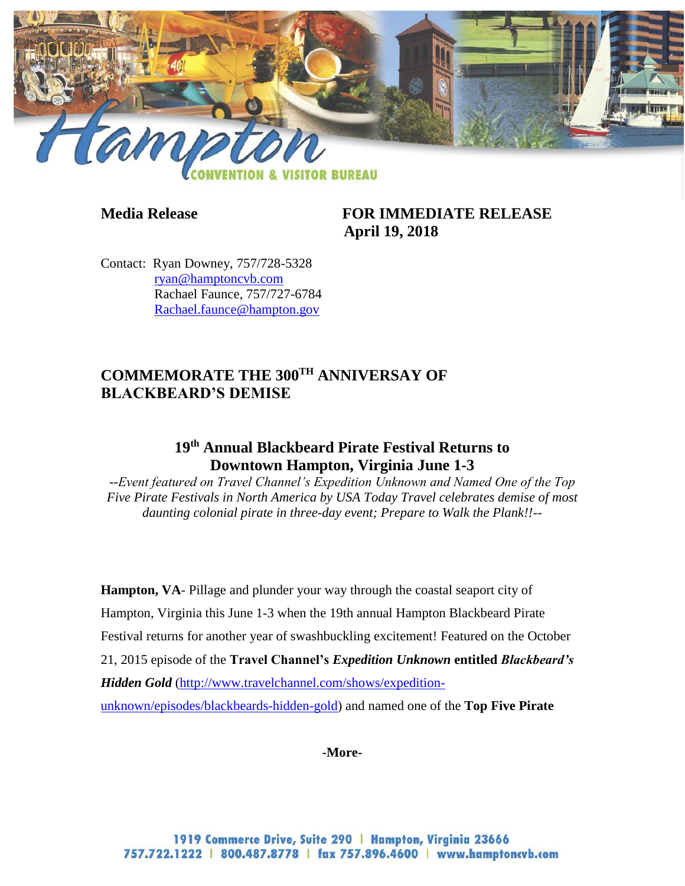

# **Media Release FOR IMMEDIATE RELEASE April 19, 2018**

Contact: Ryan Downey, 757/728-5328 [ryan@hamptoncvb.com](mailto:ryan@hamptoncvb.com) Rachael Faunce, 757/727-6784 Rachael.faunce@hampton.gov

# **COMMEMORATE THE 300TH ANNIVERSAY OF BLACKBEARD'S DEMISE**

# **19 th Annual Blackbeard Pirate Festival Returns to Downtown Hampton, Virginia June 1-3**

*--Event featured on Travel Channel's Expedition Unknown and Named One of the Top Five Pirate Festivals in North America by USA Today Travel celebrates demise of most daunting colonial pirate in three-day event; Prepare to Walk the Plank!!--*

**Hampton, VA**- Pillage and plunder your way through the coastal seaport city of Hampton, Virginia this June 1-3 when the 19th annual Hampton Blackbeard Pirate Festival returns for another year of swashbuckling excitement! Featured on the October 21, 2015 episode of the **Travel Channel's** *Expedition Unknown* **entitled** *Blackbeard's Hidden Gold* [\(http://www.travelchannel.com/shows/expedition](http://www.travelchannel.com/shows/expedition-unknown/episodes/blackbeards-hidden-gold)[unknown/episodes/blackbeards-hidden-gold\)](http://www.travelchannel.com/shows/expedition-unknown/episodes/blackbeards-hidden-gold) and named one of the **Top Five Pirate**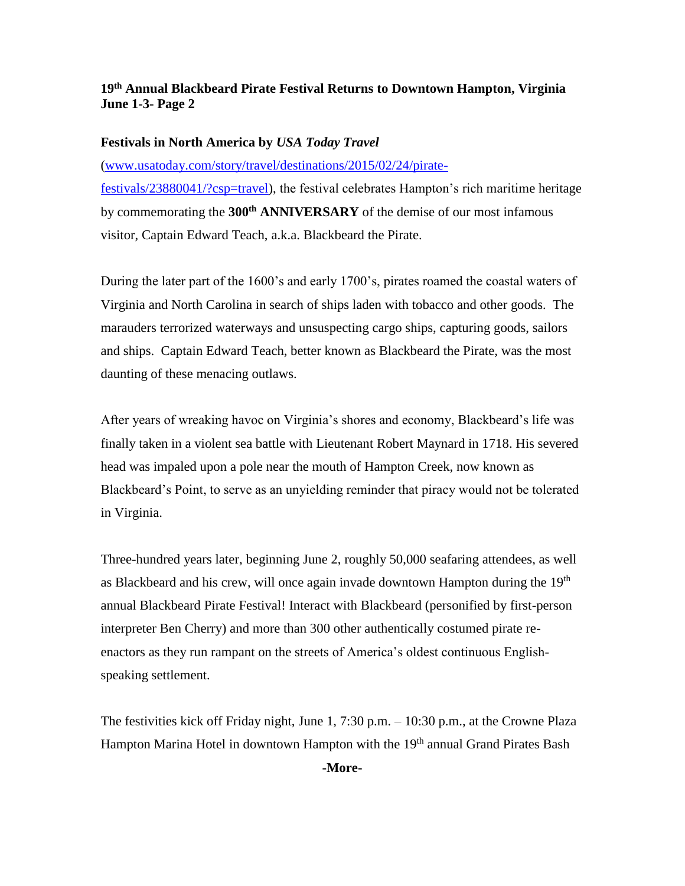### **Festivals in North America by** *USA Today Travel*

[\(www.usatoday.com/story/travel/destinations/2015/02/24/pirate](http://www.usatoday.com/story/travel/destinations/2015/02/24/pirate-festivals/23880041/?csp=travel)[festivals/23880041/?csp=travel\)](http://www.usatoday.com/story/travel/destinations/2015/02/24/pirate-festivals/23880041/?csp=travel), the festival celebrates Hampton's rich maritime heritage by commemorating the **300th ANNIVERSARY** of the demise of our most infamous visitor, Captain Edward Teach, a.k.a. Blackbeard the Pirate.

During the later part of the 1600's and early 1700's, pirates roamed the coastal waters of Virginia and North Carolina in search of ships laden with tobacco and other goods. The marauders terrorized waterways and unsuspecting cargo ships, capturing goods, sailors and ships. Captain Edward Teach, better known as Blackbeard the Pirate, was the most daunting of these menacing outlaws.

After years of wreaking havoc on Virginia's shores and economy, Blackbeard's life was finally taken in a violent sea battle with Lieutenant Robert Maynard in 1718. His severed head was impaled upon a pole near the mouth of Hampton Creek, now known as Blackbeard's Point, to serve as an unyielding reminder that piracy would not be tolerated in Virginia.

Three-hundred years later, beginning June 2, roughly 50,000 seafaring attendees, as well as Blackbeard and his crew, will once again invade downtown Hampton during the 19<sup>th</sup> annual Blackbeard Pirate Festival! Interact with Blackbeard (personified by first-person interpreter Ben Cherry) and more than 300 other authentically costumed pirate reenactors as they run rampant on the streets of America's oldest continuous Englishspeaking settlement.

The festivities kick off Friday night, June 1, 7:30 p.m. – 10:30 p.m., at the Crowne Plaza Hampton Marina Hotel in downtown Hampton with the 19<sup>th</sup> annual Grand Pirates Bash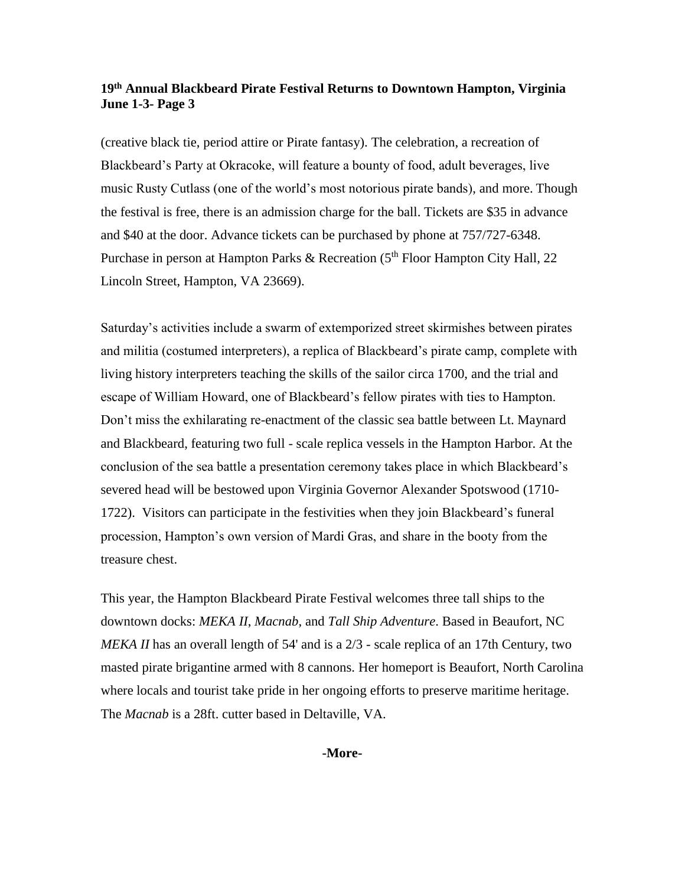(creative black tie, period attire or Pirate fantasy). The celebration, a recreation of Blackbeard's Party at Okracoke, will feature a bounty of food, adult beverages, live music Rusty Cutlass (one of the world's most notorious pirate bands), and more. Though the festival is free, there is an admission charge for the ball. Tickets are \$35 in advance and \$40 at the door. Advance tickets can be purchased by phone at 757/727-6348. Purchase in person at Hampton Parks & Recreation (5<sup>th</sup> Floor Hampton City Hall, 22 Lincoln Street, Hampton, VA 23669).

Saturday's activities include a swarm of extemporized street skirmishes between pirates and militia (costumed interpreters), a replica of Blackbeard's pirate camp, complete with living history interpreters teaching the skills of the sailor circa 1700, and the trial and escape of William Howard, one of Blackbeard's fellow pirates with ties to Hampton. Don't miss the exhilarating re-enactment of the classic sea battle between Lt. Maynard and Blackbeard, featuring two full - scale replica vessels in the Hampton Harbor. At the conclusion of the sea battle a presentation ceremony takes place in which Blackbeard's severed head will be bestowed upon Virginia Governor Alexander Spotswood (1710- 1722). Visitors can participate in the festivities when they join Blackbeard's funeral procession, Hampton's own version of Mardi Gras, and share in the booty from the treasure chest.

This year, the Hampton Blackbeard Pirate Festival welcomes three tall ships to the downtown docks: *MEKA II*, *Macnab*, and *Tall Ship Adventure*. Based in Beaufort, NC *MEKA II* has an overall length of 54' and is a 2/3 - scale replica of an 17th Century, two masted pirate brigantine armed with 8 cannons. Her homeport is Beaufort, North Carolina where locals and tourist take pride in her ongoing efforts to preserve maritime heritage. The *Macnab* is a 28ft. cutter based in Deltaville, VA.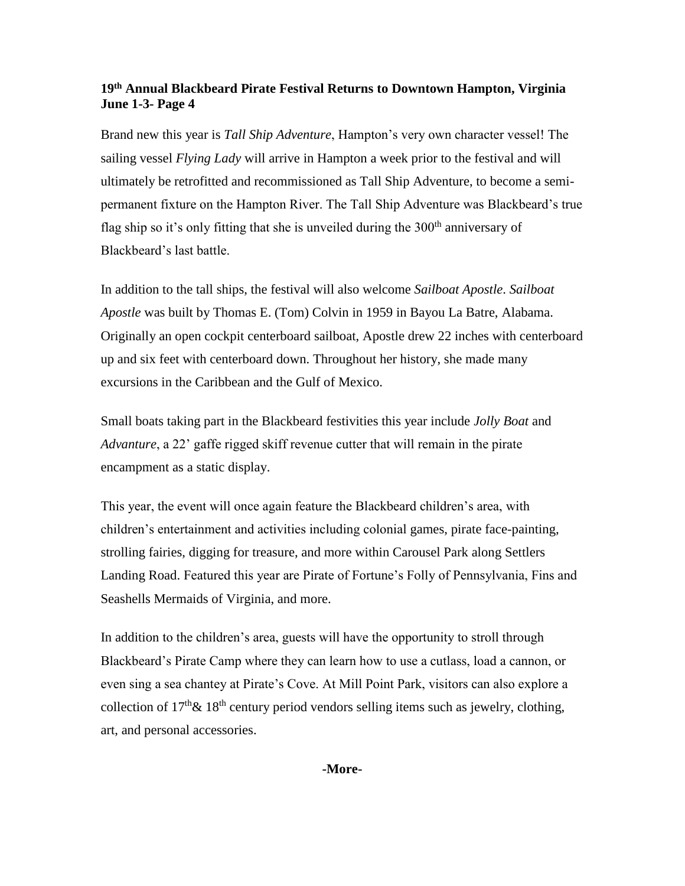Brand new this year is *Tall Ship Adventure*, Hampton's very own character vessel! The sailing vessel *Flying Lady* will arrive in Hampton a week prior to the festival and will ultimately be retrofitted and recommissioned as Tall Ship Adventure, to become a semipermanent fixture on the Hampton River. The Tall Ship Adventure was Blackbeard's true flag ship so it's only fitting that she is unveiled during the  $300<sup>th</sup>$  anniversary of Blackbeard's last battle.

In addition to the tall ships, the festival will also welcome *Sailboat Apostle*. *Sailboat Apostle* was built by Thomas E. (Tom) Colvin in 1959 in Bayou La Batre, Alabama. Originally an open cockpit centerboard sailboat, Apostle drew 22 inches with centerboard up and six feet with centerboard down. Throughout her history, she made many excursions in the Caribbean and the Gulf of Mexico.

Small boats taking part in the Blackbeard festivities this year include *Jolly Boat* and *Advanture*, a 22' gaffe rigged skiff revenue cutter that will remain in the pirate encampment as a static display.

This year, the event will once again feature the Blackbeard children's area, with children's entertainment and activities including colonial games, pirate face-painting, strolling fairies, digging for treasure, and more within Carousel Park along Settlers Landing Road. Featured this year are Pirate of Fortune's Folly of Pennsylvania, Fins and Seashells Mermaids of Virginia, and more.

In addition to the children's area, guests will have the opportunity to stroll through Blackbeard's Pirate Camp where they can learn how to use a cutlass, load a cannon, or even sing a sea chantey at Pirate's Cove. At Mill Point Park, visitors can also explore a collection of  $17<sup>th</sup> \& 18<sup>th</sup>$  century period vendors selling items such as jewelry, clothing, art, and personal accessories.